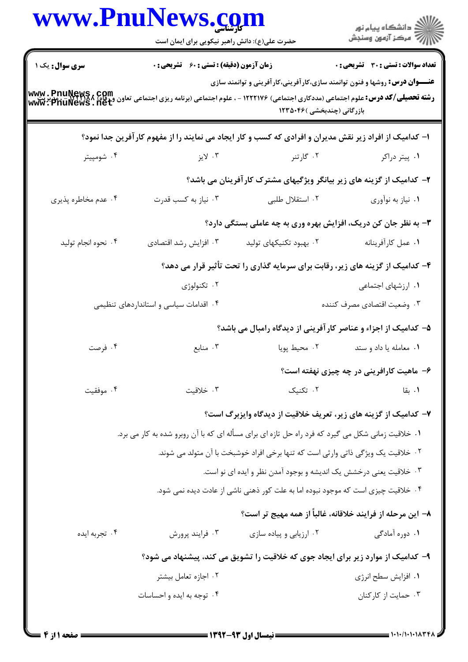| www.PnuNews.com                                                                                                                                               |                                                                |                                                                                                                   | ِ<br>∭ دانشڪاه پيام نور<br>∭ مرڪز آزمون وسنڊش              |  |
|---------------------------------------------------------------------------------------------------------------------------------------------------------------|----------------------------------------------------------------|-------------------------------------------------------------------------------------------------------------------|------------------------------------------------------------|--|
|                                                                                                                                                               | حضرت علی(ع): دانش راهبر نیکویی برای ایمان است                  |                                                                                                                   |                                                            |  |
| <b>سری سوال :</b> یک ۱                                                                                                                                        | زمان آزمون (دقیقه) : تستی : 60 قشریحی : 0                      |                                                                                                                   | <b>تعداد سوالات : تستي : 30 - تشريحي : 0</b>               |  |
| <b>رشته تحصیلی/کد درس:</b> علوم اجتماعی (مددکاری اجتماعی) ۱۲۲۲۱۷۶ - ، علوم اجتماعی (برنامه ریزی اجتماعی تعاون و و www . PnuNews , Com<br> www . PnuNews . net |                                                                | <b>عنـــوان درس:</b> روشها و فنون توانمند سازی،کار آفرینی،کار آفرینی و توانمند سازی<br>بازرگانی (چندبخشی )۱۲۳۵۰۴۶ |                                                            |  |
|                                                                                                                                                               |                                                                | ۱– کدامیک از افراد زیر نقش مدیران و افرادی که کسب و کار ایجاد می نمایند را از مفهوم کارآفرین جدا نمود؟            |                                                            |  |
| ۰۴ شومپيتر                                                                                                                                                    | ۰۳ لايز                                                        | ۰۲ گارتنر                                                                                                         | ۰۱ پیتر دراکر                                              |  |
|                                                                                                                                                               |                                                                | ۲- کدامیک از گزینه های زیر بیانگر ویژگیهای مشترک کارآفرینان می باشد؟                                              |                                                            |  |
| ۰۴ عدم مخاطره پذیری                                                                                                                                           | ۰۳ نیاز به کسب قدرت                                            | ۰۲ استقلال طلبی                                                                                                   | ۰۱ نیاز به نوآوري                                          |  |
|                                                                                                                                                               | ۳- به نظر جان کن دریک، افزایش بهره وری به چه عاملی بستگی دارد؟ |                                                                                                                   |                                                            |  |
| ۰۴ نحوه انجام توليد                                                                                                                                           | ۰۳ افزایش رشد اقتصادی                                          | ۰۲ بهبود تکنیکهای تولید                                                                                           | ٠١ عمل كارأفرينانه                                         |  |
|                                                                                                                                                               |                                                                | ۴- کدامیک از گزینه های زیر، رقابت برای سرمایه گذاری را تحت تأثیر قرار می دهد؟                                     |                                                            |  |
|                                                                                                                                                               | ۰۲ تکنولوژی                                                    |                                                                                                                   | ۰۱ ارزشهای اجتماعی                                         |  |
|                                                                                                                                                               | ۰۴ اقدامات سیاسی و استانداردهای تنظیمی                         |                                                                                                                   | ۰۳ وضعيت اقتصادي مصرف كننده                                |  |
|                                                                                                                                                               |                                                                | ۵- کدامیک از اجزاء و عناصر کار آفرینی از دیدگاه رامبال می باشد؟                                                   |                                                            |  |
| ۰۴ فرصت                                                                                                                                                       | ۰۳ منابع                                                       | ۰۲ محیط پویا                                                                                                      | ٠١ معامله يا داد و ستد                                     |  |
|                                                                                                                                                               |                                                                |                                                                                                                   | ۶– ماهیت کارافرینی در چه چیزی نهفته است؟                   |  |
| ۰۴ موفقيت                                                                                                                                                     | ۰۳ خلاقیت                                                      | ۰۲ تکنیک                                                                                                          | ۰۱ بقا                                                     |  |
|                                                                                                                                                               |                                                                | ۷- کدامیک از گزینه های زیر، تعریف خلاقیت از دیدگاه وایزبرگ است؟                                                   |                                                            |  |
|                                                                                                                                                               |                                                                | ۰۱ خلاقیت زمانی شکل می گیرد که فرد راه حل تازه ای برای مسأله ای که با آن روبرو شده به کار می برد.                 |                                                            |  |
|                                                                                                                                                               |                                                                | ۲ . خلاقیت یک ویژگی ذاتی وارثی است که تنها برخی افراد خوشبخت با آن متولد می شوند.                                 |                                                            |  |
|                                                                                                                                                               |                                                                | ۰۳ خلاقیت یعنی درخشش یک اندیشه و بوجود آمدن نظر و ایده ای نو است.                                                 |                                                            |  |
|                                                                                                                                                               |                                                                | ۰۴ خلاقیت چیزی است که موجود نبوده اما به علت کور ذهنی ناشی از عادت دیده نمی شود.                                  |                                                            |  |
|                                                                                                                                                               |                                                                |                                                                                                                   | ۸– این مرحله از فرایند خلاقانه، غالباً از همه مهیج تر است؟ |  |
| ۰۴ تجربه ايده                                                                                                                                                 | ۰۳ فرايند پرورش                                                | ۰۲ ارزیابی و پیاده سازی                                                                                           | ۰۱ دوره آمادگی                                             |  |
|                                                                                                                                                               |                                                                | ۹- کدامیک از موارد زیر برای ایجاد جوی که خلاقیت را تشویق می کند، پیشنهاد می شود؟                                  |                                                            |  |
|                                                                                                                                                               | ۰۲ اجازه تعامل بیشتر                                           |                                                                                                                   | ٠١. افزايش سطح انرژي                                       |  |
|                                                                                                                                                               | ۰۴ توجه به ایده و احساسات                                      |                                                                                                                   | ۰۳ حمایت از کارکنان                                        |  |
|                                                                                                                                                               |                                                                |                                                                                                                   |                                                            |  |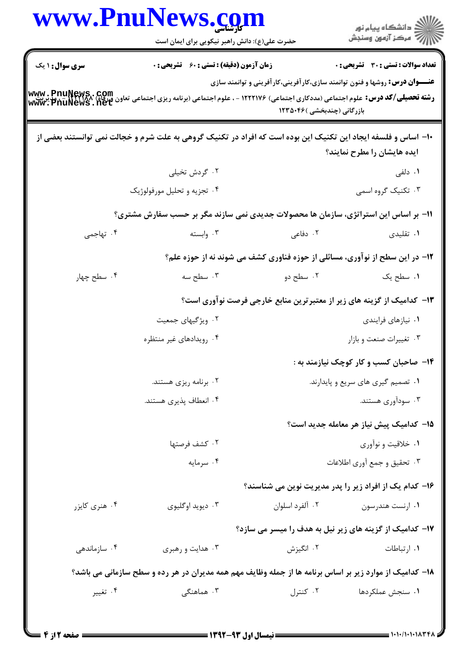| ڪ دانشڪاه پيام نور<br>ر∕ سرڪز آزمون وسنڊش |                                                                                                                   | www.Pnulvews.co<br>حضرت علی(ع): دانش راهبر نیکویی برای ایمان است                                        |                                                                                                                                                                                                                                              |
|-------------------------------------------|-------------------------------------------------------------------------------------------------------------------|---------------------------------------------------------------------------------------------------------|----------------------------------------------------------------------------------------------------------------------------------------------------------------------------------------------------------------------------------------------|
| تعداد سوالات : تستي : 30 ٪ تشريحي : 0     |                                                                                                                   | <b>زمان آزمون (دقیقه) : تستی : 60 ٪ تشریحی : 0</b>                                                      | <b>سری سوال : ۱ یک</b>                                                                                                                                                                                                                       |
|                                           | <b>عنـــوان درس:</b> روشها و فنون توانمند سازی،کار آفرینی،کار آفرینی و توانمند سازی<br>بازرگانی (چندبخشی )۱۲۳۵۰۴۶ |                                                                                                         | <b>رشته تحصیلی/کد درس: ع</b> لوم اجتماعی (مددکاری اجتماعی) ۱۲۲۲۱۷۶ - ، علوم اجتماعی (برنامه ریزی اجتماعی تعاون ورفاه) www. PnuNews.<br>ر <b>شته تحصیلی/کد درس:</b> علوم اجتماعی (مددکاری اجتماعی) ۱۲۲۲۱۷۶ - ، علوم اجتماعی (برنامه ریزی اجتم |
| ایده هایشان را مطرح نمایند؟               |                                                                                                                   |                                                                                                         | ∙ا− اساس و فلسفه ایجاد این تکنیک این بوده است که افراد در تکنیک گروهی به علت شرم و خجالت نمی توانستند بعضی از                                                                                                                                |
| <b>۰۱</b> دلفی                            |                                                                                                                   | ۰۲ گردش تخیلی                                                                                           |                                                                                                                                                                                                                                              |
| ۰۳ تکنیک گروه اسمی                        |                                                                                                                   | ۰۴ تجزیه و تحلیل مورفولوژیک                                                                             |                                                                                                                                                                                                                                              |
|                                           |                                                                                                                   | 11- بر اساس این استراتژی، سازمان ها محصولات جدیدی نمی سازند مگر بر حسب سفارش مشتری؟                     |                                                                                                                                                                                                                                              |
| ۰۱ تقلیدی                                 | ۰۲ دفاعی                                                                                                          | ۰۳ وابسته                                                                                               | ۰۴ تهاجمی                                                                                                                                                                                                                                    |
|                                           | ۱۲- در این سطح از نوآوری، مسائلی از حوزه فناوری کشف می شوند نه از حوزه علم؟                                       |                                                                                                         |                                                                                                                                                                                                                                              |
| ۰۱ سطح یک                                 | ۲. سطح دو                                                                                                         | ۰۳ سطح سه                                                                                               | ۰۴ سطح چهار                                                                                                                                                                                                                                  |
|                                           | ۱۳- کدامیک از گزینه های زیر از معتبرترین منابع خارجی فرصت نوآوری است؟                                             |                                                                                                         |                                                                                                                                                                                                                                              |
| ٠١ نيازهاي فرايندي                        |                                                                                                                   | ۰۲ ویژگیهای جمعیت                                                                                       |                                                                                                                                                                                                                                              |
| ۰۳ تغییرات صنعت و بازار                   |                                                                                                                   | ۰۴ رویدادهای غیر منتظره                                                                                 |                                                                                                                                                                                                                                              |
| ۱۴- صاحبان کسب و کار کوچک نیازمند به :    |                                                                                                                   |                                                                                                         |                                                                                                                                                                                                                                              |
| ۰۱ تصمیم گیری های سریع و پایدارند.        |                                                                                                                   | ۰۲ برنامه ریزی هستند.                                                                                   |                                                                                                                                                                                                                                              |
| ۰۳ سودآوری هستند.                         |                                                                                                                   | ۰۴ انعطاف پذیری هستند.                                                                                  |                                                                                                                                                                                                                                              |
| ۱۵– کدامیک پیش نیاز هر معامله جدید است؟   |                                                                                                                   |                                                                                                         |                                                                                                                                                                                                                                              |
| ۰۱ خلاقیت و نوآوری                        |                                                                                                                   | ۰۲ كشف فرصتها                                                                                           |                                                                                                                                                                                                                                              |
| ۰۳ تحقیق و جمع آوری اطلاعات               |                                                                                                                   | ۰۴ سرمايه                                                                                               |                                                                                                                                                                                                                                              |
|                                           | ۱۶– کدام یک از افراد زیر را پدر مدیریت نوین می شناسند؟                                                            |                                                                                                         |                                                                                                                                                                                                                                              |
| ۰۱ ارنست هندرسون                          | ۰۲ آلفرد اسلوان                                                                                                   | ۰۳ دیوید اوگلیوی                                                                                        | ۰۴ هنری کایزر                                                                                                                                                                                                                                |
|                                           | ۱۷- کدامیک از گزینه های زیر نیل به هدف را میسر می سازد؟                                                           |                                                                                                         |                                                                                                                                                                                                                                              |
| ۰۱ ارتباطات                               | ۰۲ انگیزش                                                                                                         | ۰۳ هدایت و رهبری                                                                                        | ۰۴ سازماندهی                                                                                                                                                                                                                                 |
|                                           |                                                                                                                   | ۱۸– کدامیک از موارد زیر بر اساس برنامه ها از جمله وظایف مهم همه مدیران در هر رده و سطح سازمانی می باشد؟ |                                                                                                                                                                                                                                              |
| ۰۱ سنجش عملکردها                          | ۰۲ کنترل                                                                                                          | ۰۳ هماهنگی                                                                                              | ۰۴ تغییر                                                                                                                                                                                                                                     |

 $\blacksquare$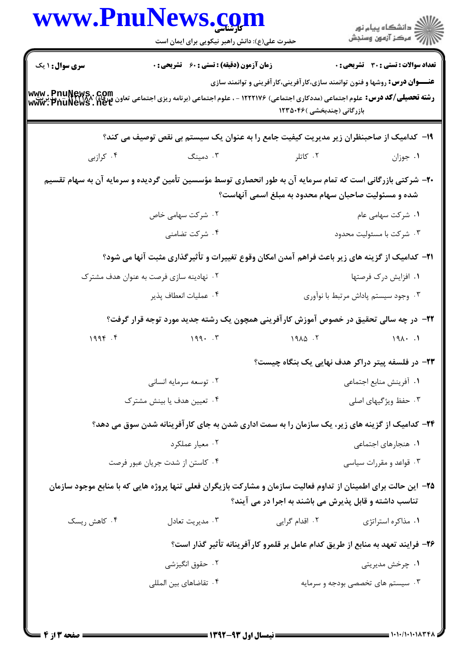|                                                                                                                                                                    | www.PnuNews.com<br>حضرت علی(ع): دانش راهبر نیکویی برای ایمان است                                                                                          |                                                                                                                   | ر<br>دانشڪاه پيام نور)<br>ا∛ مرکز آزمون وسنڊش |  |
|--------------------------------------------------------------------------------------------------------------------------------------------------------------------|-----------------------------------------------------------------------------------------------------------------------------------------------------------|-------------------------------------------------------------------------------------------------------------------|-----------------------------------------------|--|
| <b>سری سوال : ۱ یک</b>                                                                                                                                             | <b>زمان آزمون (دقیقه) : تستی : 60 ٪ تشریحی : 0</b>                                                                                                        |                                                                                                                   | تعداد سوالات : تستى : 30 ٪ تشريحي : 0         |  |
|                                                                                                                                                                    | <b>رشته تحصیلی/کد درس:</b> علوم اجتماعی (مددکاری اجتماعی) ۱۲۲۲۱۷۶ - ، علوم اجتماعی (برنامه ریزی اجتماعی تعاون ورفاه) www . PnuNews<br>www . PnuNews . net | <b>عنـــوان درس:</b> روشها و فنون توانمند سازی،کار آفرینی،کار آفرینی و توانمند سازی<br>بازرگانی (چندبخشی )۱۲۳۵۰۴۶ |                                               |  |
|                                                                                                                                                                    | ۱۹– کدامیک از صاحبنظران زیر مدیریت کیفیت جامع را به عنوان یک سیستم بی نقص توصیف می کند؟                                                                   |                                                                                                                   |                                               |  |
| ۰۴ کرازبی                                                                                                                                                          | ۰۳ دمینگ                                                                                                                                                  | ۰۲ کاتلر                                                                                                          | ۰۱ جوزان                                      |  |
| +۲- شرکتی بازرگانی است که تمام سرمایه آن به طور انحصاری توسط مؤسسین تأمین گردیده و سرمایه آن به سهام تقسیم<br>شده و مسئولیت صاحبان سهام محدود به مبلغ اسمی آنهاست؟ |                                                                                                                                                           |                                                                                                                   |                                               |  |
|                                                                                                                                                                    | ۰۲ شرکت سهامی خاص                                                                                                                                         |                                                                                                                   | ۰۱ شرکت سهامی عام                             |  |
|                                                                                                                                                                    | ۰۴ شرکت تضامنی                                                                                                                                            |                                                                                                                   | ۰۳ شرکت با مسئوليت محدود                      |  |
|                                                                                                                                                                    | <b>۲۱</b> - کدامیک از گزینه های زیر باعث فراهم آمدن امکان وقوع تغییرات و تأثیرگذاری مثبت آنها می شود؟                                                     |                                                                                                                   |                                               |  |
|                                                                                                                                                                    | ۰۲ نهادینه سازی فرصت به عنوان هدف مشترک                                                                                                                   |                                                                                                                   | ۰۱ افزایش درک فرصتها                          |  |
|                                                                                                                                                                    | ۰۴ عمليات انعطاف پذير                                                                                                                                     |                                                                                                                   | ۰۳ وجود سیستم پاداش مرتبط با نوآوری           |  |
|                                                                                                                                                                    | ۲۲- در چه سالی تحقیق در خصوص آموزش کارآفرینی همچون یک رشته جدید مورد توجه قرار گرفت؟                                                                      |                                                                                                                   |                                               |  |
| 1996.5                                                                                                                                                             | 199.7                                                                                                                                                     | $19\lambda\Delta$ .                                                                                               | $191 \cdot .1$                                |  |
|                                                                                                                                                                    |                                                                                                                                                           | <b>۲۳</b> - در فلسفه پیتر دراکر هدف نهایی یک بنگاه چیست؟                                                          |                                               |  |
|                                                                                                                                                                    | ۰۲ توسعه سرمایه انسانی                                                                                                                                    |                                                                                                                   | ٠١ أفرينش منابع اجتماعي                       |  |
|                                                                                                                                                                    | ۰۳ حفظ ویژگیهای اصلی<br>۰۴ تعیین هدف یا بینش مشترک                                                                                                        |                                                                                                                   |                                               |  |
|                                                                                                                                                                    | ۲۴– کدامیک از گزینه های زیر، یک سازمان را به سمت اداری شدن به جای کارآفرینانه شدن سوق می دهد؟                                                             |                                                                                                                   |                                               |  |
|                                                                                                                                                                    | ۰۲ معیار عملکرد                                                                                                                                           |                                                                                                                   | ۰۱ هنجارهای اجتماعی                           |  |
| ۰۴ کاستن از شدت جریان عبور فرصت                                                                                                                                    |                                                                                                                                                           |                                                                                                                   | ۰۳ قواعد و مقررات سیاسی                       |  |
|                                                                                                                                                                    | ۲۵– این حالت برای اطمینان از تداوم فعالیت سازمان و مشارکت بازیگران فعلی تنها پروژه هایی که با منابع موجود سازمان                                          | تناسب داشته و قابل پذیرش می باشند به اجرا در می آیند؟                                                             |                                               |  |
| ۰۴ کاهش ریسک                                                                                                                                                       | ۰۳ مديريت تعادل                                                                                                                                           | ۰۲ اقدام گرایی                                                                                                    | ۰۱ مذاکره استراتژی                            |  |
|                                                                                                                                                                    |                                                                                                                                                           | ۲۶– فرایند تعهد به منابع از طریق کدام عامل بر قلمرو کارآفرینانه تأثیر گذار است؟                                   |                                               |  |
|                                                                                                                                                                    | ۰۲ حقوق انگیزشی                                                                                                                                           |                                                                                                                   | ۰۱ چرخش مدیریتی                               |  |
|                                                                                                                                                                    | ۰۴ تقاضاهای بین المللی                                                                                                                                    |                                                                                                                   | ۰۳ سیستم های تخصصی بودجه و سرمایه             |  |
| = صفحه 13 : 4                                                                                                                                                      | ــــــــ نیمسال اول ۹۳-۱۳۹۲ ـــــــــ                                                                                                                     |                                                                                                                   |                                               |  |